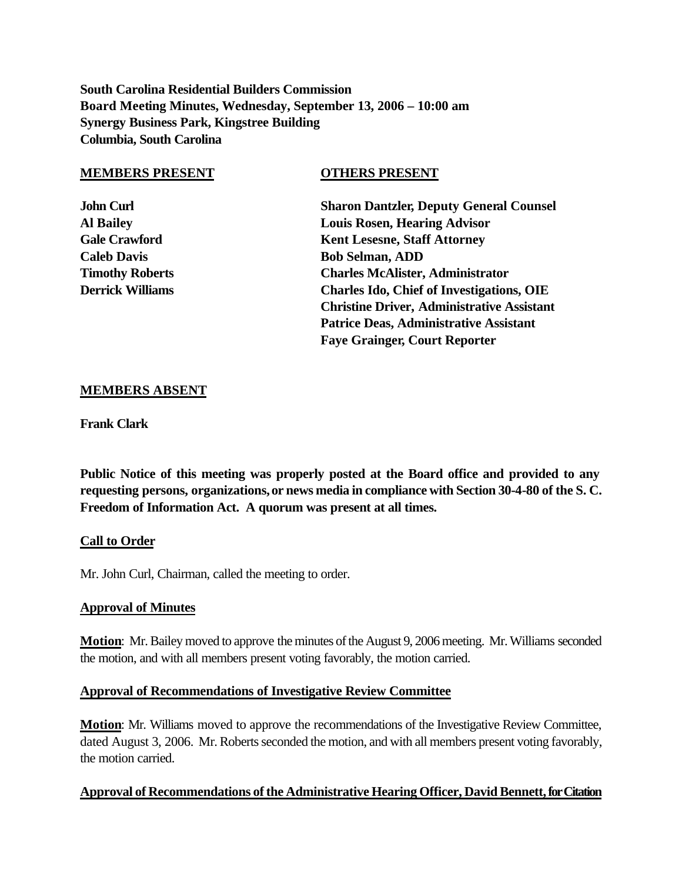**South Carolina Residential Builders Commission Board Meeting Minutes, Wednesday, September 13, 2006 – 10:00 am Synergy Business Park, Kingstree Building Columbia, South Carolina**

#### **MEMBERS PRESENT OTHERS PRESENT**

**John Curl Sharon Dantzler, Deputy General Counsel Al Bailey Louis Rosen, Hearing Advisor Gale Crawford Kent Lesesne, Staff Attorney Caleb Davis Bob Selman, ADD Timothy Roberts Charles McAlister, Administrator Derrick Williams Charles Ido, Chief of Investigations, OIE Christine Driver, Administrative Assistant Patrice Deas, Administrative Assistant Faye Grainger, Court Reporter**

### **MEMBERS ABSENT**

**Frank Clark**

**Public Notice of this meeting was properly posted at the Board office and provided to any requesting persons, organizations, or news media in compliance with Section 30-4-80 of the S. C. Freedom of Information Act. A quorum was present at all times.**

## **Call to Order**

Mr. John Curl, Chairman, called the meeting to order.

#### **Approval of Minutes**

**Motion**: Mr. Bailey moved to approve the minutes of the August 9, 2006 meeting. Mr. Williams seconded the motion, and with all members present voting favorably, the motion carried.

#### **Approval of Recommendations of Investigative Review Committee**

**Motion**: Mr. Williams moved to approve the recommendations of the Investigative Review Committee, dated August 3, 2006. Mr. Roberts seconded the motion, and with all members present voting favorably, the motion carried.

## **Approval of Recommendations of the Administrative Hearing Officer, David Bennett, for Citation**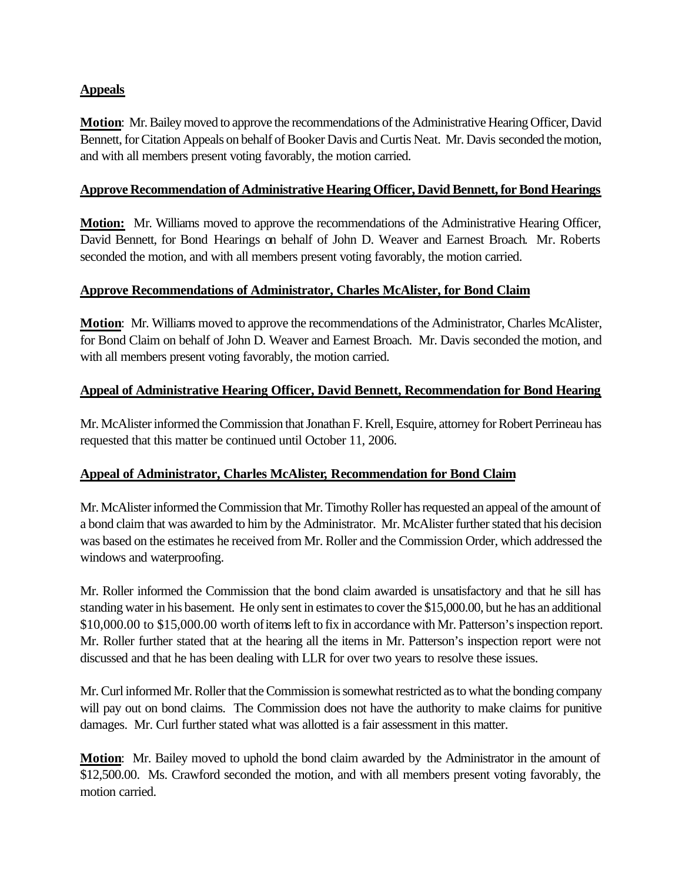# **Appeals**

**Motion**: Mr. Bailey moved to approve the recommendations of the Administrative Hearing Officer, David Bennett, for Citation Appeals on behalf of Booker Davis and Curtis Neat. Mr. Davis seconded the motion, and with all members present voting favorably, the motion carried.

# **Approve Recommendation of Administrative Hearing Officer, David Bennett, for Bond Hearings**

**Motion:** Mr. Williams moved to approve the recommendations of the Administrative Hearing Officer, David Bennett, for Bond Hearings on behalf of John D. Weaver and Earnest Broach. Mr. Roberts seconded the motion, and with all members present voting favorably, the motion carried.

# **Approve Recommendations of Administrator, Charles McAlister, for Bond Claim**

**Motion**: Mr. Williams moved to approve the recommendations of the Administrator, Charles McAlister, for Bond Claim on behalf of John D. Weaver and Earnest Broach. Mr. Davis seconded the motion, and with all members present voting favorably, the motion carried.

## **Appeal of Administrative Hearing Officer, David Bennett, Recommendation for Bond Hearing**

Mr. McAlister informed the Commission that Jonathan F. Krell, Esquire, attorney for Robert Perrineau has requested that this matter be continued until October 11, 2006.

# **Appeal of Administrator, Charles McAlister, Recommendation for Bond Claim**

Mr. McAlister informed the Commission that Mr. Timothy Roller has requested an appeal of the amount of a bond claim that was awarded to him by the Administrator. Mr. McAlister further stated that his decision was based on the estimates he received from Mr. Roller and the Commission Order, which addressed the windows and waterproofing.

Mr. Roller informed the Commission that the bond claim awarded is unsatisfactory and that he sill has standing water in his basement. He only sent in estimates to cover the \$15,000.00, but he has an additional \$10,000.00 to \$15,000.00 worth of items left to fix in accordance with Mr. Patterson's inspection report. Mr. Roller further stated that at the hearing all the items in Mr. Patterson's inspection report were not discussed and that he has been dealing with LLR for over two years to resolve these issues.

Mr. Curl informed Mr. Roller that the Commission is somewhat restricted as to what the bonding company will pay out on bond claims. The Commission does not have the authority to make claims for punitive damages. Mr. Curl further stated what was allotted is a fair assessment in this matter.

**Motion**: Mr. Bailey moved to uphold the bond claim awarded by the Administrator in the amount of \$12,500.00. Ms. Crawford seconded the motion, and with all members present voting favorably, the motion carried.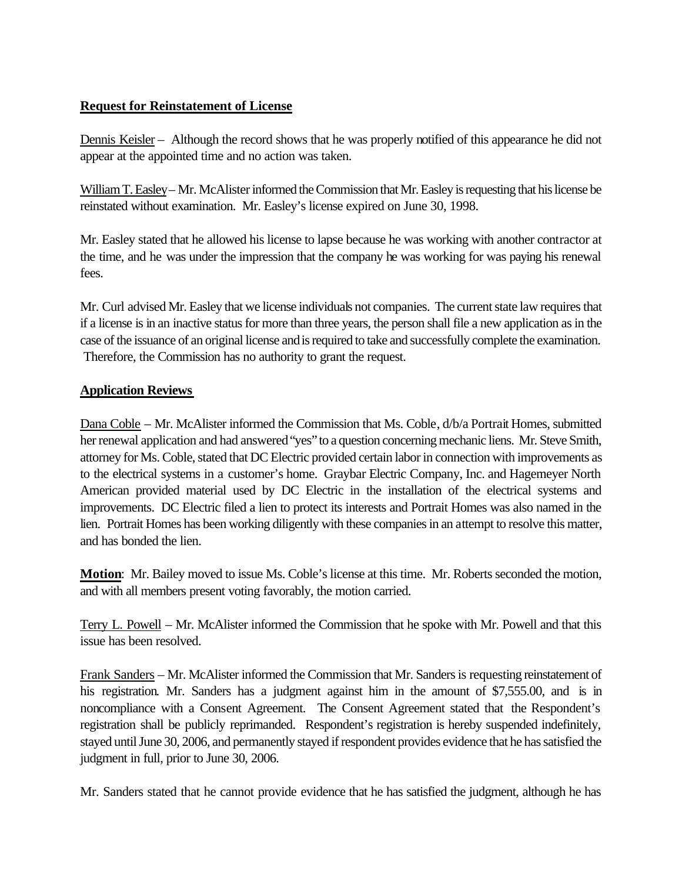# **Request for Reinstatement of License**

Dennis Keisler – Although the record shows that he was properly notified of this appearance he did not appear at the appointed time and no action was taken.

William T. Easley– Mr. McAlister informed the Commission that Mr. Easley is requesting that his license be reinstated without examination. Mr. Easley's license expired on June 30, 1998.

Mr. Easley stated that he allowed his license to lapse because he was working with another contractor at the time, and he was under the impression that the company he was working for was paying his renewal fees.

Mr. Curl advised Mr. Easley that we license individuals not companies. The current state law requires that if a license is in an inactive status for more than three years, the person shall file a new application as in the case of the issuance of an original license and is required to take and successfully complete the examination. Therefore, the Commission has no authority to grant the request.

# **Application Reviews**

Dana Coble – Mr. McAlister informed the Commission that Ms. Coble,  $d/b/a$  Portrait Homes, submitted her renewal application and had answered "yes" to a question concerning mechanic liens. Mr. Steve Smith, attorney for Ms. Coble, stated that DC Electric provided certain labor in connection with improvements as to the electrical systems in a customer's home. Graybar Electric Company, Inc. and Hagemeyer North American provided material used by DC Electric in the installation of the electrical systems and improvements. DC Electric filed a lien to protect its interests and Portrait Homes was also named in the lien. Portrait Homes has been working diligently with these companies in an attempt to resolve this matter, and has bonded the lien.

**Motion**: Mr. Bailey moved to issue Ms. Coble's license at this time. Mr. Roberts seconded the motion, and with all members present voting favorably, the motion carried.

Terry L. Powell – Mr. McAlister informed the Commission that he spoke with Mr. Powell and that this issue has been resolved.

Frank Sanders – Mr. McAlister informed the Commission that Mr. Sanders is requesting reinstatement of his registration. Mr. Sanders has a judgment against him in the amount of \$7,555.00, and is in noncompliance with a Consent Agreement. The Consent Agreement stated that the Respondent's registration shall be publicly reprimanded. Respondent's registration is hereby suspended indefinitely, stayed until June 30, 2006, and permanently stayed if respondent provides evidence that he has satisfied the judgment in full, prior to June 30, 2006.

Mr. Sanders stated that he cannot provide evidence that he has satisfied the judgment, although he has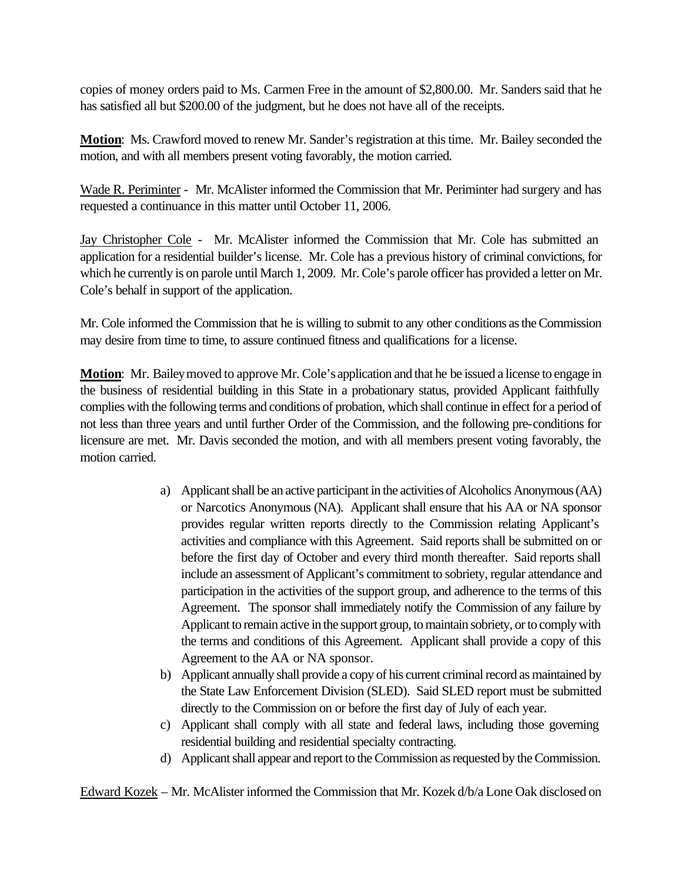copies of money orders paid to Ms. Carmen Free in the amount of \$2,800.00. Mr. Sanders said that he has satisfied all but \$200.00 of the judgment, but he does not have all of the receipts.

**Motion**: Ms. Crawford moved to renew Mr. Sander's registration at this time. Mr. Bailey seconded the motion, and with all members present voting favorably, the motion carried.

Wade R. Periminter - Mr. McAlister informed the Commission that Mr. Periminter had surgery and has requested a continuance in this matter until October 11, 2006.

Jay Christopher Cole - Mr. McAlister informed the Commission that Mr. Cole has submitted an application for a residential builder's license. Mr. Cole has a previous history of criminal convictions, for which he currently is on parole until March 1, 2009. Mr. Cole's parole officer has provided a letter on Mr. Cole's behalf in support of the application.

Mr. Cole informed the Commission that he is willing to submit to any other conditions as the Commission may desire from time to time, to assure continued fitness and qualifications for a license.

**Motion**: Mr. Bailey moved to approve Mr. Cole's application and that he be issued a license to engage in the business of residential building in this State in a probationary status, provided Applicant faithfully complies with the following terms and conditions of probation, which shall continue in effect for a period of not less than three years and until further Order of the Commission, and the following pre-conditions for licensure are met. Mr. Davis seconded the motion, and with all members present voting favorably, the motion carried.

- a) Applicant shall be an active participant in the activities of Alcoholics Anonymous (AA) or Narcotics Anonymous (NA). Applicant shall ensure that his AA or NA sponsor provides regular written reports directly to the Commission relating Applicant's activities and compliance with this Agreement. Said reports shall be submitted on or before the first day of October and every third month thereafter. Said reports shall include an assessment of Applicant's commitment to sobriety, regular attendance and participation in the activities of the support group, and adherence to the terms of this Agreement. The sponsor shall immediately notify the Commission of any failure by Applicant to remain active in the support group, to maintain sobriety, or to comply with the terms and conditions of this Agreement. Applicant shall provide a copy of this Agreement to the AA or NA sponsor.
- b) Applicant annually shall provide a copy of his current criminal record as maintained by the State Law Enforcement Division (SLED). Said SLED report must be submitted directly to the Commission on or before the first day of July of each year.
- c) Applicant shall comply with all state and federal laws, including those governing residential building and residential specialty contracting.
- d) Applicant shall appear and report to the Commission as requested by the Commission.

Edward Kozek – Mr. McAlister informed the Commission that Mr. Kozek d/b/a Lone Oak disclosed on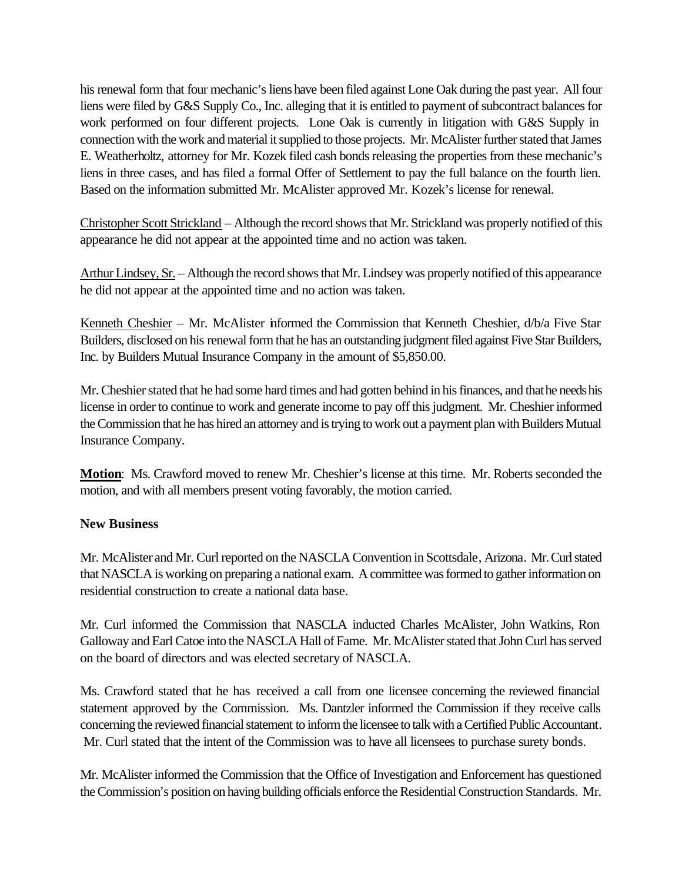his renewal form that four mechanic's liens have been filed against Lone Oak during the past year. All four liens were filed by G&S Supply Co., Inc. alleging that it is entitled to payment of subcontract balances for work performed on four different projects. Lone Oak is currently in litigation with G&S Supply in connection with the work and material it supplied to those projects. Mr. McAlister further stated that James E. Weatherholtz, attorney for Mr. Kozek filed cash bonds releasing the properties from these mechanic's liens in three cases, and has filed a formal Offer of Settlement to pay the full balance on the fourth lien. Based on the information submitted Mr. McAlister approved Mr. Kozek's license for renewal.

Christopher Scott Strickland – Although the record shows that Mr. Strickland was properly notified of this appearance he did not appear at the appointed time and no action was taken.

Arthur Lindsey, Sr. – Although the record shows that Mr. Lindsey was properly notified of this appearance he did not appear at the appointed time and no action was taken.

Kenneth Cheshier – Mr. McAlister informed the Commission that Kenneth Cheshier, d/b/a Five Star Builders, disclosed on his renewal form that he has an outstanding judgment filed against Five Star Builders, Inc. by Builders Mutual Insurance Company in the amount of \$5,850.00.

Mr. Cheshier stated that he had some hard times and had gotten behind in his finances, and that he needs his license in order to continue to work and generate income to pay off this judgment. Mr. Cheshier informed the Commission that he has hired an attorney and is trying to work out a payment plan with Builders Mutual Insurance Company.

**Motion**: Ms. Crawford moved to renew Mr. Cheshier's license at this time. Mr. Roberts seconded the motion, and with all members present voting favorably, the motion carried.

# **New Business**

Mr. McAlister and Mr. Curl reported on the NASCLA Convention in Scottsdale, Arizona. Mr. Curl stated that NASCLA is working on preparing a national exam. A committee was formed to gather information on residential construction to create a national data base.

Mr. Curl informed the Commission that NASCLA inducted Charles McAlister, John Watkins, Ron Galloway and Earl Catoe into the NASCLA Hall of Fame. Mr. McAlister stated that John Curl has served on the board of directors and was elected secretary of NASCLA.

Ms. Crawford stated that he has received a call from one licensee concerning the reviewed financial statement approved by the Commission. Ms. Dantzler informed the Commission if they receive calls concerning the reviewed financial statement to inform the licensee to talk with a Certified Public Accountant. Mr. Curl stated that the intent of the Commission was to have all licensees to purchase surety bonds.

Mr. McAlister informed the Commission that the Office of Investigation and Enforcement has questioned the Commission's position on having building officials enforce the Residential Construction Standards. Mr.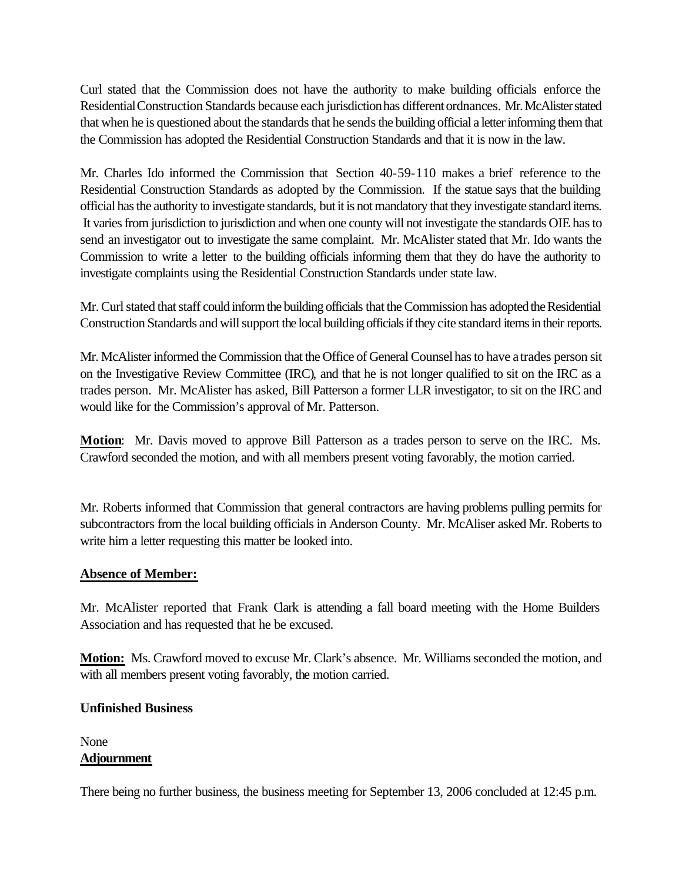Curl stated that the Commission does not have the authority to make building officials enforce the Residential Construction Standards because each jurisdictionhas different ordnances. Mr. McAlister stated that when he is questioned about the standards that he sends the building official a letter informing them that the Commission has adopted the Residential Construction Standards and that it is now in the law.

Mr. Charles Ido informed the Commission that Section 40-59-110 makes a brief reference to the Residential Construction Standards as adopted by the Commission. If the statue says that the building official has the authority to investigate standards, but it is not mandatory that they investigate standard items. It varies from jurisdiction to jurisdiction and when one county will not investigate the standards OIE has to send an investigator out to investigate the same complaint. Mr. McAlister stated that Mr. Ido wants the Commission to write a letter to the building officials informing them that they do have the authority to investigate complaints using the Residential Construction Standards under state law.

Mr. Curl stated that staff could inform the building officials that the Commission has adopted the Residential Construction Standards and will support the local building officials if they cite standard items in their reports.

Mr. McAlister informed the Commission that the Office of General Counsel has to have a trades person sit on the Investigative Review Committee (IRC), and that he is not longer qualified to sit on the IRC as a trades person. Mr. McAlister has asked, Bill Patterson a former LLR investigator, to sit on the IRC and would like for the Commission's approval of Mr. Patterson.

**Motion**: Mr. Davis moved to approve Bill Patterson as a trades person to serve on the IRC. Ms. Crawford seconded the motion, and with all members present voting favorably, the motion carried.

Mr. Roberts informed that Commission that general contractors are having problems pulling permits for subcontractors from the local building officials in Anderson County. Mr. McAliser asked Mr. Roberts to write him a letter requesting this matter be looked into.

# **Absence of Member:**

Mr. McAlister reported that Frank Clark is attending a fall board meeting with the Home Builders Association and has requested that he be excused.

**Motion:** Ms. Crawford moved to excuse Mr. Clark's absence. Mr. Williams seconded the motion, and with all members present voting favorably, the motion carried.

## **Unfinished Business**

# None **Adjournment**

There being no further business, the business meeting for September 13, 2006 concluded at 12:45 p.m.